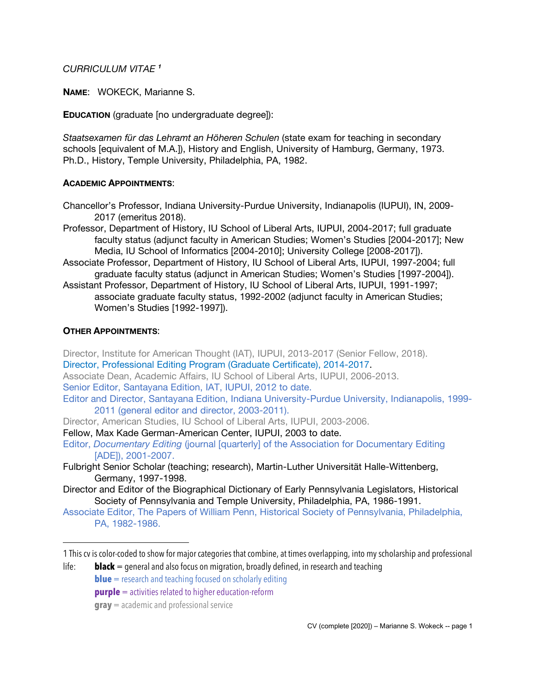# *CURRICULUM VITAE <sup>1</sup>*

**NAME**: WOKECK, Marianne S.

**EDUCATION** (graduate [no undergraduate degree]):

*Staatsexamen für das Lehramt an Höheren Schulen* (state exam for teaching in secondary schools [equivalent of M.A.]), History and English, University of Hamburg, Germany, 1973. Ph.D., History, Temple University, Philadelphia, PA, 1982.

### **ACADEMIC APPOINTMENTS**:

- Chancellor's Professor, Indiana University-Purdue University, Indianapolis (IUPUI), IN, 2009- 2017 (emeritus 2018).
- Professor, Department of History, IU School of Liberal Arts, IUPUI, 2004-2017; full graduate faculty status (adjunct faculty in American Studies; Women's Studies [2004-2017]; New Media, IU School of Informatics [2004-2010]; University College [2008-2017]).
- Associate Professor, Department of History, IU School of Liberal Arts, IUPUI, 1997-2004; full graduate faculty status (adjunct in American Studies; Women's Studies [1997-2004]).
- Assistant Professor, Department of History, IU School of Liberal Arts, IUPUI, 1991-1997; associate graduate faculty status, 1992-2002 (adjunct faculty in American Studies; Women's Studies [1992-1997]).

### **OTHER APPOINTMENTS**:

 $\overline{a}$ 

Director, Institute for American Thought (IAT), IUPUI, 2013-2017 (Senior Fellow, 2018). Director, Professional Editing Program (Graduate Certificate), 2014-2017. Associate Dean, Academic Affairs, IU School of Liberal Arts, IUPUI, 2006-2013. Senior Editor, Santayana Edition, IAT, IUPUI, 2012 to date. Editor and Director, Santayana Edition, Indiana University-Purdue University, Indianapolis, 1999- 2011 (general editor and director, 2003-2011). Director, American Studies, IU School of Liberal Arts, IUPUI, 2003-2006. Fellow, Max Kade German-American Center, IUPUI, 2003 to date. Editor, *Documentary Editing* (journal [quarterly] of the Association for Documentary Editing [ADE]), 2001-2007.

- Fulbright Senior Scholar (teaching; research), Martin-Luther Universität Halle-Wittenberg, Germany, 1997-1998.
- Director and Editor of the Biographical Dictionary of Early Pennsylvania Legislators, Historical Society of Pennsylvania and Temple University, Philadelphia, PA, 1986-1991.
- Associate Editor, The Papers of William Penn, Historical Society of Pennsylvania, Philadelphia, PA, 1982-1986.

<sup>1</sup> This cv is color-coded to show for major categories that combine, at times overlapping, into my scholarship and professional

life: **black** = general and also focus on migration, broadly defined, in research and teaching **blue** = research and teaching focused on scholarly editing

**purple** = activities related to higher education-reform

**gray** = academic and professional service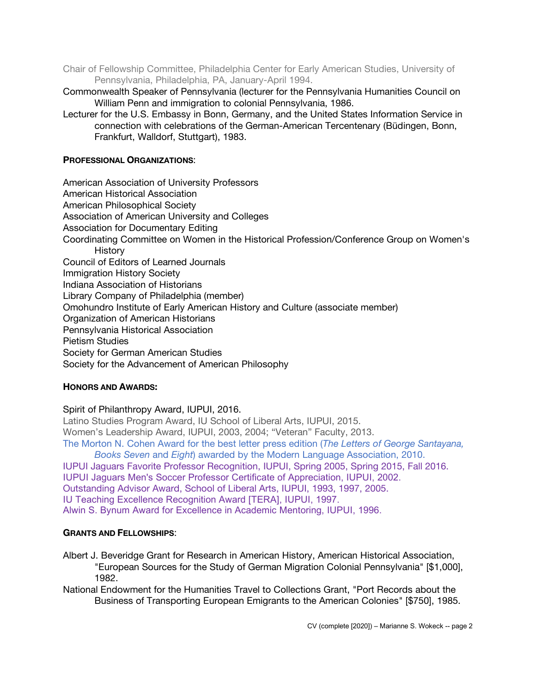- Chair of Fellowship Committee, Philadelphia Center for Early American Studies, University of Pennsylvania, Philadelphia, PA, January-April 1994.
- Commonwealth Speaker of Pennsylvania (lecturer for the Pennsylvania Humanities Council on William Penn and immigration to colonial Pennsylvania, 1986.
- Lecturer for the U.S. Embassy in Bonn, Germany, and the United States Information Service in connection with celebrations of the German-American Tercentenary (Büdingen, Bonn, Frankfurt, Walldorf, Stuttgart), 1983.

### **PROFESSIONAL ORGANIZATIONS**:

American Association of University Professors American Historical Association American Philosophical Society Association of American University and Colleges Association for Documentary Editing Coordinating Committee on Women in the Historical Profession/Conference Group on Women's **History** Council of Editors of Learned Journals Immigration History Society Indiana Association of Historians Library Company of Philadelphia (member) Omohundro Institute of Early American History and Culture (associate member) Organization of American Historians Pennsylvania Historical Association Pietism Studies Society for German American Studies Society for the Advancement of American Philosophy

# **HONORS AND AWARDS:**

# Spirit of Philanthropy Award, IUPUI, 2016.

Latino Studies Program Award, IU School of Liberal Arts, IUPUI, 2015. Women's Leadership Award, IUPUI, 2003, 2004; "Veteran" Faculty, 2013. The Morton N. Cohen Award for the best letter press edition (*The Letters of George Santayana, Books Seven* and *Eight*) awarded by the Modern Language Association, 2010. IUPUI Jaguars Favorite Professor Recognition, IUPUI, Spring 2005, Spring 2015, Fall 2016. IUPUI Jaguars Men's Soccer Professor Certificate of Appreciation, IUPUI, 2002. Outstanding Advisor Award, School of Liberal Arts, IUPUI, 1993, 1997, 2005.

IU Teaching Excellence Recognition Award [TERA], IUPUI, 1997.

Alwin S. Bynum Award for Excellence in Academic Mentoring, IUPUI, 1996.

#### **GRANTS AND FELLOWSHIPS**:

- Albert J. Beveridge Grant for Research in American History, American Historical Association, "European Sources for the Study of German Migration Colonial Pennsylvania" [\$1,000], 1982.
- National Endowment for the Humanities Travel to Collections Grant, "Port Records about the Business of Transporting European Emigrants to the American Colonies" [\$750], 1985.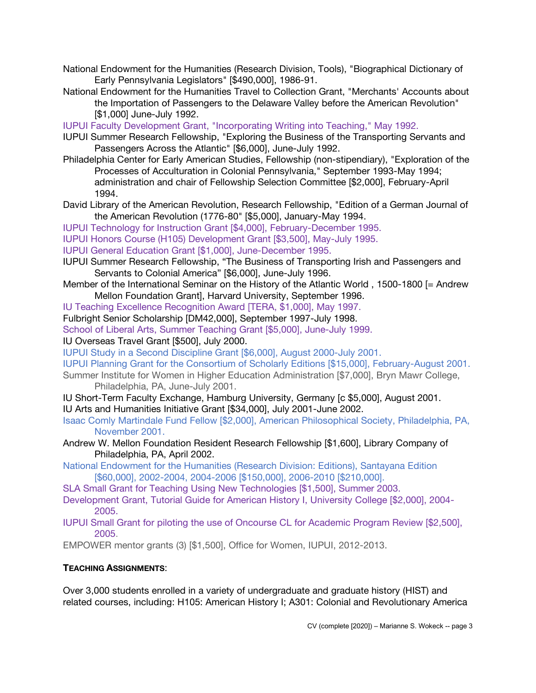- National Endowment for the Humanities (Research Division, Tools), "Biographical Dictionary of Early Pennsylvania Legislators" [\$490,000], 1986-91.
- National Endowment for the Humanities Travel to Collection Grant, "Merchants' Accounts about the Importation of Passengers to the Delaware Valley before the American Revolution" [\$1,000] June-July 1992.
- IUPUI Faculty Development Grant, "Incorporating Writing into Teaching," May 1992.
- IUPUI Summer Research Fellowship, "Exploring the Business of the Transporting Servants and Passengers Across the Atlantic" [\$6,000], June-July 1992.
- Philadelphia Center for Early American Studies, Fellowship (non-stipendiary), "Exploration of the Processes of Acculturation in Colonial Pennsylvania," September 1993-May 1994; administration and chair of Fellowship Selection Committee [\$2,000], February-April 1994.
- David Library of the American Revolution, Research Fellowship, "Edition of a German Journal of the American Revolution (1776-80" [\$5,000], January-May 1994.
- IUPUI Technology for Instruction Grant [\$4,000], February-December 1995.
- IUPUI Honors Course (H105) Development Grant [\$3,500], May-July 1995.
- IUPUI General Education Grant [\$1,000], June-December 1995.
- IUPUI Summer Research Fellowship, "The Business of Transporting Irish and Passengers and Servants to Colonial America" [\$6,000], June-July 1996.
- Member of the International Seminar on the History of the Atlantic World , 1500-1800 [= Andrew Mellon Foundation Grant], Harvard University, September 1996.
- IU Teaching Excellence Recognition Award [TERA, \$1,000], May 1997.
- Fulbright Senior Scholarship [DM42,000], September 1997-July 1998.
- School of Liberal Arts, Summer Teaching Grant [\$5,000], June-July 1999.
- IU Overseas Travel Grant [\$500], July 2000.
- IUPUI Study in a Second Discipline Grant [\$6,000], August 2000-July 2001.
- IUPUI Planning Grant for the Consortium of Scholarly Editions [\$15,000], February-August 2001.
- Summer Institute for Women in Higher Education Administration [\$7,000], Bryn Mawr College, Philadelphia, PA, June-July 2001.
- IU Short-Term Faculty Exchange, Hamburg University, Germany [c \$5,000], August 2001. IU Arts and Humanities Initiative Grant [\$34,000], July 2001-June 2002.
- Isaac Comly Martindale Fund Fellow [\$2,000], American Philosophical Society, Philadelphia, PA, November 2001.
- Andrew W. Mellon Foundation Resident Research Fellowship [\$1,600], Library Company of Philadelphia, PA, April 2002.
- National Endowment for the Humanities (Research Division: Editions), Santayana Edition [\$60,000], 2002-2004, 2004-2006 [\$150,000], 2006-2010 [\$210,000].
- SLA Small Grant for Teaching Using New Technologies [\$1,500], Summer 2003.
- Development Grant, Tutorial Guide for American History I, University College [\$2,000], 2004- 2005.
- IUPUI Small Grant for piloting the use of Oncourse CL for Academic Program Review [\$2,500], 2005.
- EMPOWER mentor grants (3) [\$1,500], Office for Women, IUPUI, 2012-2013.

#### **TEACHING ASSIGNMENTS**:

Over 3,000 students enrolled in a variety of undergraduate and graduate history (HIST) and related courses, including: H105: American History I; A301: Colonial and Revolutionary America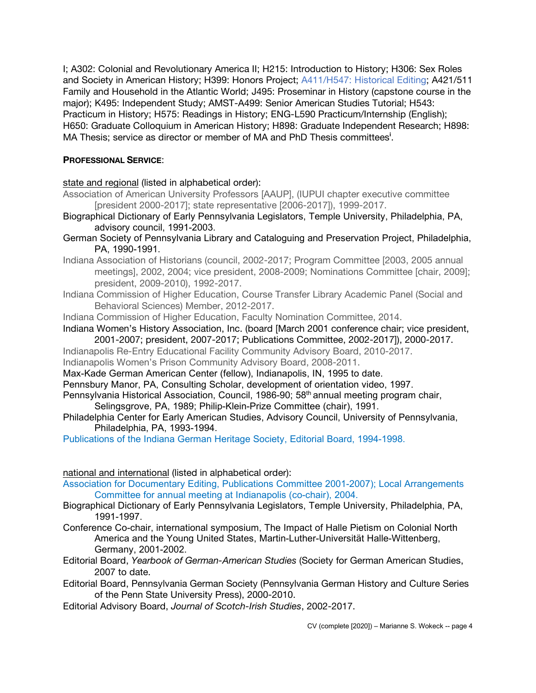I; A302: Colonial and Revolutionary America II; H215: Introduction to History; H306: Sex Roles and Society in American History; H399: Honors Project; A411/H547: Historical Editing; A421/511 Family and Household in the Atlantic World; J495: Proseminar in History (capstone course in the major); K495: Independent Study; AMST-A499: Senior American Studies Tutorial; H543: Practicum in History; H575: Readings in History; ENG-L590 Practicum/Internship (English); H650: Graduate Colloquium in American History; H898: Graduate Independent Research; H898: MA Thesis; service as director or member of MA and PhD Thesis committees**<sup>i</sup>** .

## **PROFESSIONAL SERVICE**:

state and regional (listed in alphabetical order):

- Association of American University Professors [AAUP], (IUPUI chapter executive committee [president 2000-2017]; state representative [2006-2017]), 1999-2017.
- Biographical Dictionary of Early Pennsylvania Legislators, Temple University, Philadelphia, PA, advisory council, 1991-2003.
- German Society of Pennsylvania Library and Cataloguing and Preservation Project, Philadelphia, PA, 1990-1991.
- Indiana Association of Historians (council, 2002-2017; Program Committee [2003, 2005 annual meetings], 2002, 2004; vice president, 2008-2009; Nominations Committee [chair, 2009]; president, 2009-2010), 1992-2017.
- Indiana Commission of Higher Education, Course Transfer Library Academic Panel (Social and Behavioral Sciences) Member, 2012-2017.
- Indiana Commission of Higher Education, Faculty Nomination Committee, 2014.
- Indiana Women's History Association, Inc. (board [March 2001 conference chair; vice president, 2001-2007; president, 2007-2017; Publications Committee, 2002-2017]), 2000-2017.
- Indianapolis Re-Entry Educational Facility Community Advisory Board, 2010-2017.
- Indianapolis Women's Prison Community Advisory Board, 2008-2011.
- Max-Kade German American Center (fellow), Indianapolis, IN, 1995 to date.
- Pennsbury Manor, PA, Consulting Scholar, development of orientation video, 1997.
- Pennsylvania Historical Association, Council, 1986-90; 58<sup>th</sup> annual meeting program chair, Selingsgrove, PA, 1989; Philip-Klein-Prize Committee (chair), 1991.
- Philadelphia Center for Early American Studies, Advisory Council, University of Pennsylvania, Philadelphia, PA, 1993-1994.
- Publications of the Indiana German Heritage Society, Editorial Board, 1994-1998.

national and international (listed in alphabetical order):

- Association for Documentary Editing, Publications Committee 2001-2007); Local Arrangements Committee for annual meeting at Indianapolis (co-chair), 2004.
- Biographical Dictionary of Early Pennsylvania Legislators, Temple University, Philadelphia, PA, 1991-1997.
- Conference Co-chair, international symposium, The Impact of Halle Pietism on Colonial North America and the Young United States, Martin-Luther-Universität Halle-Wittenberg, Germany, 2001-2002.
- Editorial Board, *Yearbook of German-American Studies* (Society for German American Studies, 2007 to date.
- Editorial Board, Pennsylvania German Society (Pennsylvania German History and Culture Series of the Penn State University Press), 2000-2010.
- Editorial Advisory Board, *Journal of Scotch-Irish Studies*, 2002-2017.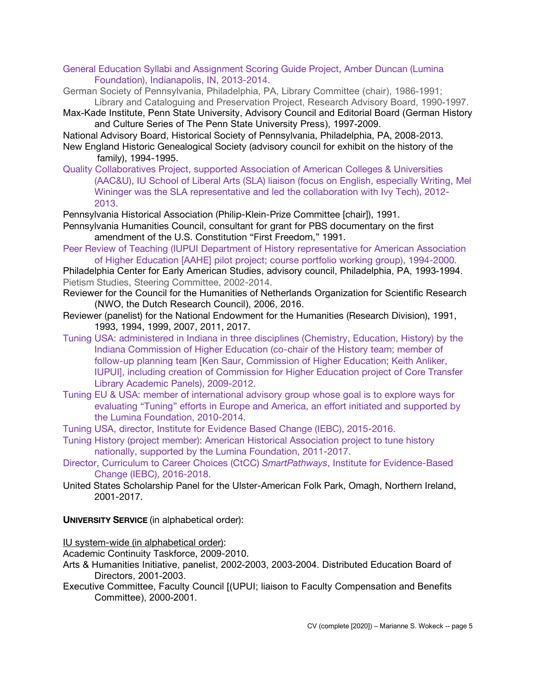- General Education Syllabi and Assignment Scoring Guide Project, Amber Duncan (Lumina Foundation), Indianapolis, IN, 2013-2014.
- German Society of Pennsylvania, Philadelphia, PA, Library Committee (chair), 1986-1991; Library and Cataloguing and Preservation Project, Research Advisory Board, 1990-1997.
- Max-Kade Institute, Penn State University, Advisory Council and Editorial Board (German History and Culture Series of The Penn State University Press), 1997-2009.
- National Advisory Board, Historical Society of Pennsylvania, Philadelphia, PA, 2008-2013. New England Historic Genealogical Society (advisory council for exhibit on the history of the
- family), 1994-1995.
- Quality Collaboratives Project, supported Association of American Colleges & Universities (AAC&U), IU School of Liberal Arts (SLA) liaison (focus on English, especially Writing, Mel Wininger was the SLA representative and led the collaboration with Ivy Tech), 2012- 2013.

Pennsylvania Historical Association (Philip-Klein-Prize Committee [chair]), 1991. Pennsylvania Humanities Council, consultant for grant for PBS documentary on the first

amendment of the U.S. Constitution "First Freedom," 1991.

Peer Review of Teaching (IUPUI Department of History representative for American Association of Higher Education [AAHE] pilot project; course portfolio working group), 1994-2000.

Philadelphia Center for Early American Studies, advisory council, Philadelphia, PA, 1993-1994. Pietism Studies, Steering Committee, 2002-2014.

- Reviewer for the Council for the Humanities of Netherlands Organization for Scientific Research (NWO, the Dutch Research Council), 2006, 2016.
- Reviewer (panelist) for the National Endowment for the Humanities (Research Division), 1991, 1993, 1994, 1999, 2007, 2011, 2017.
- Tuning USA: administered in Indiana in three disciplines (Chemistry, Education, History) by the Indiana Commission of Higher Education (co-chair of the History team; member of follow-up planning team [Ken Saur, Commission of Higher Education; Keith Anliker, IUPUI], including creation of Commission for Higher Education project of Core Transfer Library Academic Panels), 2009-2012.
- Tuning EU & USA: member of international advisory group whose goal is to explore ways for evaluating "Tuning" efforts in Europe and America, an effort initiated and supported by the Lumina Foundation, 2010-2014.
- Tuning USA, director, Institute for Evidence Based Change (IEBC), 2015-2016.
- Tuning History (project member): American Historical Association project to tune history nationally, supported by the Lumina Foundation, 2011-2017.
- Director, Curriculum to Career Choices (CtCC) *SmartPathways*, Institute for Evidence-Based Change (IEBC), 2016-2018.
- United States Scholarship Panel for the Ulster-American Folk Park, Omagh, Northern Ireland, 2001-2017.

**UNIVERSITY SERVICE** (in alphabetical order):

IU system-wide (in alphabetical order):

Academic Continuity Taskforce, 2009-2010.

- Arts & Humanities Initiative, panelist, 2002-2003, 2003-2004. Distributed Education Board of Directors, 2001-2003.
- Executive Committee, Faculty Council [(UPUI; liaison to Faculty Compensation and Benefits Committee), 2000-2001.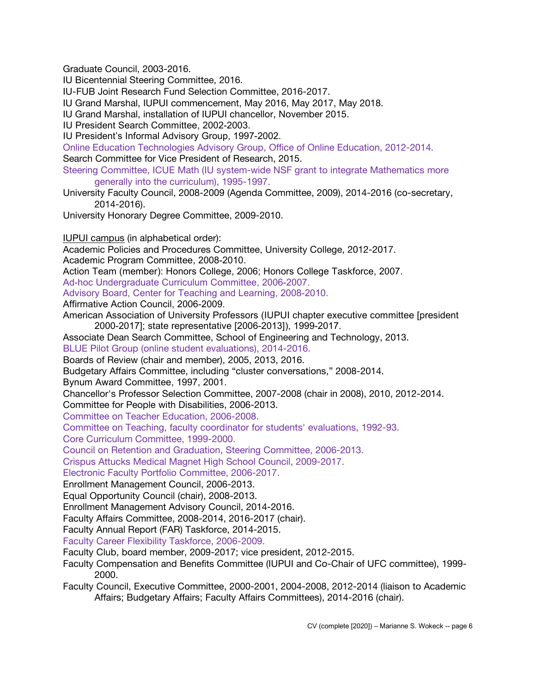Graduate Council, 2003-2016.

IU Bicentennial Steering Committee, 2016.

IU-FUB Joint Research Fund Selection Committee, 2016-2017.

IU Grand Marshal, IUPUI commencement, May 2016, May 2017, May 2018.

IU Grand Marshal, installation of IUPUI chancellor, November 2015.

IU President Search Committee, 2002-2003.

IU President's Informal Advisory Group, 1997-2002.

Online Education Technologies Advisory Group, Office of Online Education, 2012-2014.

Search Committee for Vice President of Research, 2015.

Steering Committee, ICUE Math (IU system-wide NSF grant to integrate Mathematics more generally into the curriculum), 1995-1997.

University Faculty Council, 2008-2009 (Agenda Committee, 2009), 2014-2016 (co-secretary, 2014-2016).

University Honorary Degree Committee, 2009-2010.

IUPUI campus (in alphabetical order):

Academic Policies and Procedures Committee, University College, 2012-2017. Academic Program Committee, 2008-2010.

Action Team (member): Honors College, 2006; Honors College Taskforce, 2007.

Ad-hoc Undergraduate Curriculum Committee, 2006-2007.

Advisory Board, Center for Teaching and Learning, 2008-2010.

Affirmative Action Council, 2006-2009.

American Association of University Professors (IUPUI chapter executive committee [president 2000-2017]; state representative [2006-2013]), 1999-2017.

Associate Dean Search Committee, School of Engineering and Technology, 2013.

BLUE Pilot Group (online student evaluations), 2014-2016.

Boards of Review (chair and member), 2005, 2013, 2016.

Budgetary Affairs Committee, including "cluster conversations," 2008-2014.

Bynum Award Committee, 1997, 2001.

Chancellor's Professor Selection Committee, 2007-2008 (chair in 2008), 2010, 2012-2014.

Committee for People with Disabilities, 2006-2013.

Committee on Teacher Education, 2006-2008.

Committee on Teaching, faculty coordinator for students' evaluations, 1992-93.

Core Curriculum Committee, 1999-2000.

Council on Retention and Graduation, Steering Committee, 2006-2013.

Crispus Attucks Medical Magnet High School Council, 2009-2017.

Electronic Faculty Portfolio Committee, 2006-2017.

Enrollment Management Council, 2006-2013.

Equal Opportunity Council (chair), 2008-2013.

Enrollment Management Advisory Council, 2014-2016.

Faculty Affairs Committee, 2008-2014, 2016-2017 (chair).

Faculty Annual Report (FAR) Taskforce, 2014-2015.

Faculty Career Flexibility Taskforce, 2006-2009.

Faculty Club, board member, 2009-2017; vice president, 2012-2015.

Faculty Compensation and Benefits Committee (IUPUI and Co-Chair of UFC committee), 1999- 2000.

Faculty Council, Executive Committee, 2000-2001, 2004-2008, 2012-2014 (liaison to Academic Affairs; Budgetary Affairs; Faculty Affairs Committees), 2014-2016 (chair).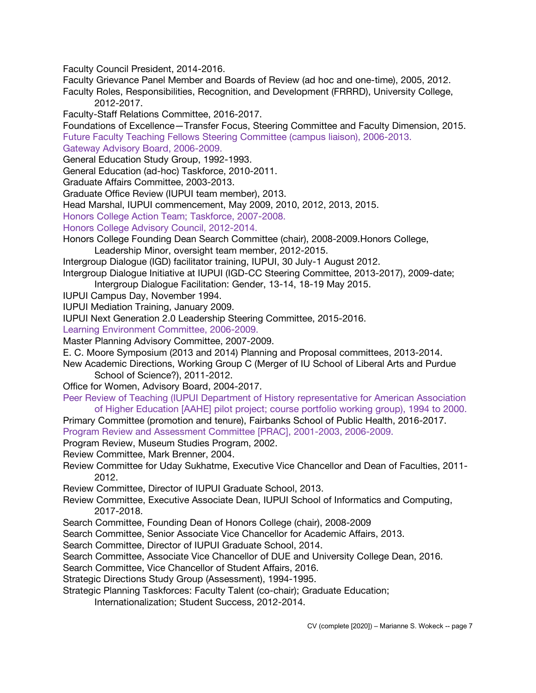Faculty Council President, 2014-2016.

Faculty Grievance Panel Member and Boards of Review (ad hoc and one-time), 2005, 2012.

Faculty Roles, Responsibilities, Recognition, and Development (FRRRD), University College, 2012-2017.

Faculty-Staff Relations Committee, 2016-2017.

Foundations of Excellence—Transfer Focus, Steering Committee and Faculty Dimension, 2015.

Future Faculty Teaching Fellows Steering Committee (campus liaison), 2006-2013.

Gateway Advisory Board, 2006-2009.

General Education Study Group, 1992-1993.

General Education (ad-hoc) Taskforce, 2010-2011.

Graduate Affairs Committee, 2003-2013.

Graduate Office Review (IUPUI team member), 2013.

Head Marshal, IUPUI commencement, May 2009, 2010, 2012, 2013, 2015.

Honors College Action Team; Taskforce, 2007-2008.

Honors College Advisory Council, 2012-2014.

Honors College Founding Dean Search Committee (chair), 2008-2009.Honors College,

Leadership Minor, oversight team member, 2012-2015.

Intergroup Dialogue (IGD) facilitator training, IUPUI, 30 July-1 August 2012.

Intergroup Dialogue Initiative at IUPUI (IGD-CC Steering Committee, 2013-2017), 2009-date; Intergroup Dialogue Facilitation: Gender, 13-14, 18-19 May 2015.

IUPUI Campus Day, November 1994.

IUPUI Mediation Training, January 2009.

IUPUI Next Generation 2.0 Leadership Steering Committee, 2015-2016.

Learning Environment Committee, 2006-2009.

Master Planning Advisory Committee, 2007-2009.

E. C. Moore Symposium (2013 and 2014) Planning and Proposal committees, 2013-2014.

New Academic Directions, Working Group C (Merger of IU School of Liberal Arts and Purdue School of Science?), 2011-2012.

Office for Women, Advisory Board, 2004-2017.

Peer Review of Teaching (IUPUI Department of History representative for American Association of Higher Education [AAHE] pilot project; course portfolio working group), 1994 to 2000.

Primary Committee (promotion and tenure), Fairbanks School of Public Health, 2016-2017. Program Review and Assessment Committee [PRAC], 2001-2003, 2006-2009.

Program Review, Museum Studies Program, 2002.

Review Committee, Mark Brenner, 2004.

Review Committee for Uday Sukhatme, Executive Vice Chancellor and Dean of Faculties, 2011- 2012.

Review Committee, Director of IUPUI Graduate School, 2013.

Review Committee, Executive Associate Dean, IUPUI School of Informatics and Computing, 2017-2018.

Search Committee, Founding Dean of Honors College (chair), 2008-2009

Search Committee, Senior Associate Vice Chancellor for Academic Affairs, 2013.

Search Committee, Director of IUPUI Graduate School, 2014.

Search Committee, Associate Vice Chancellor of DUE and University College Dean, 2016.

Search Committee, Vice Chancellor of Student Affairs, 2016.

Strategic Directions Study Group (Assessment), 1994-1995.

Strategic Planning Taskforces: Faculty Talent (co-chair); Graduate Education;

Internationalization; Student Success, 2012-2014.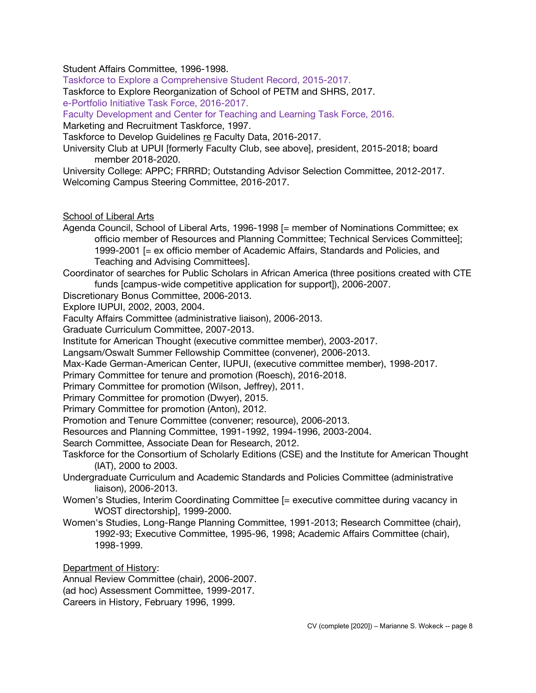Student Affairs Committee, 1996-1998.

Taskforce to Explore a Comprehensive Student Record, 2015-2017.

Taskforce to Explore Reorganization of School of PETM and SHRS, 2017.

e-Portfolio Initiative Task Force, 2016-2017.

Faculty Development and Center for Teaching and Learning Task Force, 2016.

Marketing and Recruitment Taskforce, 1997.

Taskforce to Develop Guidelines re Faculty Data, 2016-2017.

University Club at UPUI [formerly Faculty Club, see above], president, 2015-2018; board member 2018-2020.

University College: APPC; FRRRD; Outstanding Advisor Selection Committee, 2012-2017. Welcoming Campus Steering Committee, 2016-2017.

School of Liberal Arts

Agenda Council, School of Liberal Arts, 1996-1998 [= member of Nominations Committee; ex officio member of Resources and Planning Committee; Technical Services Committee]; 1999-2001 [= ex officio member of Academic Affairs, Standards and Policies, and Teaching and Advising Committees].

Coordinator of searches for Public Scholars in African America (three positions created with CTE funds [campus-wide competitive application for support]), 2006-2007.

Discretionary Bonus Committee, 2006-2013.

Explore IUPUI, 2002, 2003, 2004.

Faculty Affairs Committee (administrative liaison), 2006-2013.

Graduate Curriculum Committee, 2007-2013.

Institute for American Thought (executive committee member), 2003-2017.

Langsam/Oswalt Summer Fellowship Committee (convener), 2006-2013.

Max-Kade German-American Center, IUPUI, (executive committee member), 1998-2017.

Primary Committee for tenure and promotion (Roesch), 2016-2018.

Primary Committee for promotion (Wilson, Jeffrey), 2011.

Primary Committee for promotion (Dwyer), 2015.

Primary Committee for promotion (Anton), 2012.

Promotion and Tenure Committee (convener; resource), 2006-2013.

Resources and Planning Committee, 1991-1992, 1994-1996, 2003-2004.

Search Committee, Associate Dean for Research, 2012.

Taskforce for the Consortium of Scholarly Editions (CSE) and the Institute for American Thought (IAT), 2000 to 2003.

Undergraduate Curriculum and Academic Standards and Policies Committee (administrative liaison), 2006-2013.

- Women's Studies, Interim Coordinating Committee [= executive committee during vacancy in WOST directorship], 1999-2000.
- Women's Studies, Long-Range Planning Committee, 1991-2013; Research Committee (chair), 1992-93; Executive Committee, 1995-96, 1998; Academic Affairs Committee (chair), 1998-1999.

Department of History:

Annual Review Committee (chair), 2006-2007. (ad hoc) Assessment Committee, 1999-2017. Careers in History, February 1996, 1999.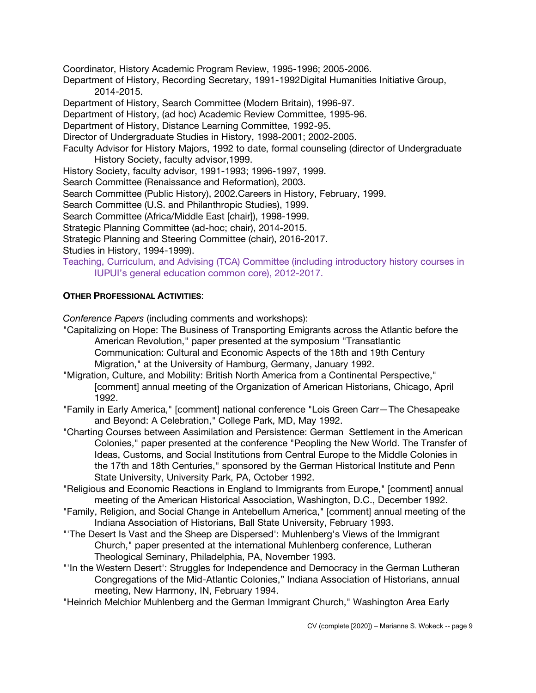Coordinator, History Academic Program Review, 1995-1996; 2005-2006.

Department of History, Recording Secretary, 1991-1992Digital Humanities Initiative Group, 2014-2015.

Department of History, Search Committee (Modern Britain), 1996-97.

Department of History, (ad hoc) Academic Review Committee, 1995-96.

Department of History, Distance Learning Committee, 1992-95.

Director of Undergraduate Studies in History, 1998-2001; 2002-2005.

Faculty Advisor for History Majors, 1992 to date, formal counseling (director of Undergraduate History Society, faculty advisor,1999.

History Society, faculty advisor, 1991-1993; 1996-1997, 1999.

Search Committee (Renaissance and Reformation), 2003.

Search Committee (Public History), 2002.Careers in History, February, 1999.

Search Committee (U.S. and Philanthropic Studies), 1999.

Search Committee (Africa/Middle East [chair]), 1998-1999.

Strategic Planning Committee (ad-hoc; chair), 2014-2015.

Strategic Planning and Steering Committee (chair), 2016-2017.

Studies in History, 1994-1999).

Teaching, Curriculum, and Advising (TCA) Committee (including introductory history courses in IUPUI's general education common core), 2012-2017.

# **OTHER PROFESSIONAL ACTIVITIES**:

*Conference Papers* (including comments and workshops):

"Capitalizing on Hope: The Business of Transporting Emigrants across the Atlantic before the American Revolution," paper presented at the symposium "Transatlantic

Communication: Cultural and Economic Aspects of the 18th and 19th Century Migration," at the University of Hamburg, Germany, January 1992.

"Migration, Culture, and Mobility: British North America from a Continental Perspective," [comment] annual meeting of the Organization of American Historians, Chicago, April 1992.

"Family in Early America," [comment] national conference "Lois Green Carr—The Chesapeake and Beyond: A Celebration," College Park, MD, May 1992.

- "Charting Courses between Assimilation and Persistence: German Settlement in the American Colonies," paper presented at the conference "Peopling the New World. The Transfer of Ideas, Customs, and Social Institutions from Central Europe to the Middle Colonies in the 17th and 18th Centuries," sponsored by the German Historical Institute and Penn State University, University Park, PA, October 1992.
- "Religious and Economic Reactions in England to Immigrants from Europe," [comment] annual meeting of the American Historical Association, Washington, D.C., December 1992.
- "Family, Religion, and Social Change in Antebellum America," [comment] annual meeting of the Indiana Association of Historians, Ball State University, February 1993.
- "'The Desert Is Vast and the Sheep are Dispersed': Muhlenberg's Views of the Immigrant Church," paper presented at the international Muhlenberg conference, Lutheran Theological Seminary, Philadelphia, PA, November 1993.
- "'In the Western Desert': Struggles for Independence and Democracy in the German Lutheran Congregations of the Mid-Atlantic Colonies," Indiana Association of Historians, annual meeting, New Harmony, IN, February 1994.

"Heinrich Melchior Muhlenberg and the German Immigrant Church," Washington Area Early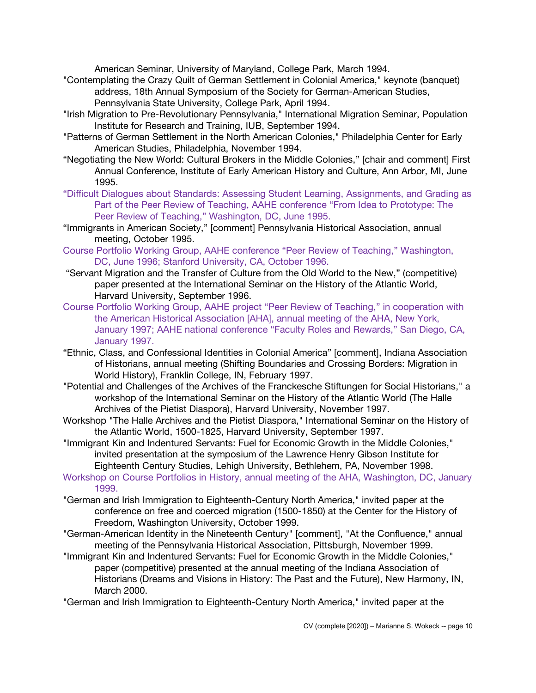American Seminar, University of Maryland, College Park, March 1994.

- "Contemplating the Crazy Quilt of German Settlement in Colonial America," keynote (banquet) address, 18th Annual Symposium of the Society for German-American Studies, Pennsylvania State University, College Park, April 1994.
- "Irish Migration to Pre-Revolutionary Pennsylvania," International Migration Seminar, Population Institute for Research and Training, IUB, September 1994.
- "Patterns of German Settlement in the North American Colonies," Philadelphia Center for Early American Studies, Philadelphia, November 1994.
- "Negotiating the New World: Cultural Brokers in the Middle Colonies," [chair and comment] First Annual Conference, Institute of Early American History and Culture, Ann Arbor, MI, June 1995.
- "Difficult Dialogues about Standards: Assessing Student Learning, Assignments, and Grading as Part of the Peer Review of Teaching, AAHE conference "From Idea to Prototype: The Peer Review of Teaching," Washington, DC, June 1995.
- "Immigrants in American Society," [comment] Pennsylvania Historical Association, annual meeting, October 1995.
- Course Portfolio Working Group, AAHE conference "Peer Review of Teaching," Washington, DC, June 1996; Stanford University, CA, October 1996.
- "Servant Migration and the Transfer of Culture from the Old World to the New," (competitive) paper presented at the International Seminar on the History of the Atlantic World, Harvard University, September 1996.
- Course Portfolio Working Group, AAHE project "Peer Review of Teaching," in cooperation with the American Historical Association [AHA], annual meeting of the AHA, New York, January 1997; AAHE national conference "Faculty Roles and Rewards," San Diego, CA, January 1997.
- "Ethnic, Class, and Confessional Identities in Colonial America" [comment], Indiana Association of Historians, annual meeting (Shifting Boundaries and Crossing Borders: Migration in World History), Franklin College, IN, February 1997.
- "Potential and Challenges of the Archives of the Franckesche Stiftungen for Social Historians," a workshop of the International Seminar on the History of the Atlantic World (The Halle Archives of the Pietist Diaspora), Harvard University, November 1997.
- Workshop "The Halle Archives and the Pietist Diaspora," International Seminar on the History of the Atlantic World, 1500-1825, Harvard University, September 1997.
- "Immigrant Kin and Indentured Servants: Fuel for Economic Growth in the Middle Colonies," invited presentation at the symposium of the Lawrence Henry Gibson Institute for Eighteenth Century Studies, Lehigh University, Bethlehem, PA, November 1998.
- Workshop on Course Portfolios in History, annual meeting of the AHA, Washington, DC, January 1999.
- "German and Irish Immigration to Eighteenth-Century North America," invited paper at the conference on free and coerced migration (1500-1850) at the Center for the History of Freedom, Washington University, October 1999.
- "German-American Identity in the Nineteenth Century" [comment], "At the Confluence," annual meeting of the Pennsylvania Historical Association, Pittsburgh, November 1999.
- "Immigrant Kin and Indentured Servants: Fuel for Economic Growth in the Middle Colonies," paper (competitive) presented at the annual meeting of the Indiana Association of Historians (Dreams and Visions in History: The Past and the Future), New Harmony, IN, March 2000.
- "German and Irish Immigration to Eighteenth-Century North America," invited paper at the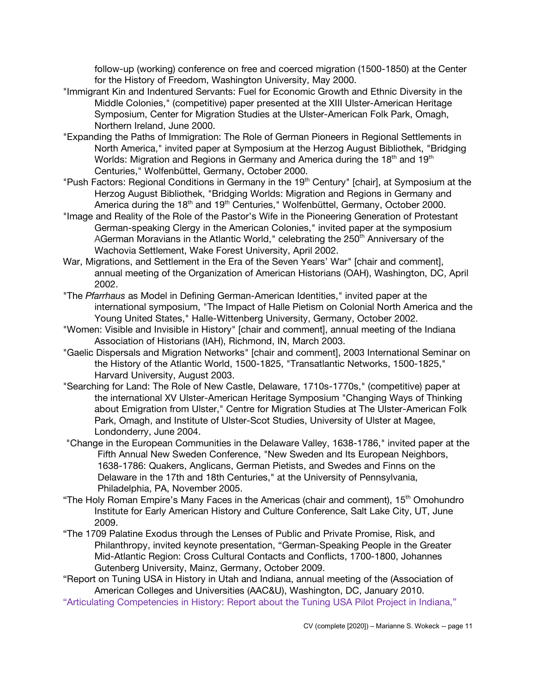follow-up (working) conference on free and coerced migration (1500-1850) at the Center for the History of Freedom, Washington University, May 2000.

- "Immigrant Kin and Indentured Servants: Fuel for Economic Growth and Ethnic Diversity in the Middle Colonies," (competitive) paper presented at the XIII Ulster-American Heritage Symposium, Center for Migration Studies at the Ulster-American Folk Park, Omagh, Northern Ireland, June 2000.
- "Expanding the Paths of Immigration: The Role of German Pioneers in Regional Settlements in North America," invited paper at Symposium at the Herzog August Bibliothek, "Bridging Worlds: Migration and Regions in Germany and America during the 18<sup>th</sup> and 19<sup>th</sup> Centuries," Wolfenbüttel, Germany, October 2000.
- "Push Factors: Regional Conditions in Germany in the 19<sup>th</sup> Century" [chair], at Symposium at the Herzog August Bibliothek, "Bridging Worlds: Migration and Regions in Germany and America during the 18<sup>th</sup> and 19<sup>th</sup> Centuries," Wolfenbüttel, Germany, October 2000.
- "Image and Reality of the Role of the Pastor's Wife in the Pioneering Generation of Protestant German-speaking Clergy in the American Colonies," invited paper at the symposium AGerman Moravians in the Atlantic World," celebrating the  $250<sup>th</sup>$  Anniversary of the Wachovia Settlement, Wake Forest University, April 2002.
- War, Migrations, and Settlement in the Era of the Seven Years' War" [chair and comment], annual meeting of the Organization of American Historians (OAH), Washington, DC, April 2002.
- "The *Pfarrhaus* as Model in Defining German-American Identities," invited paper at the international symposium, "The Impact of Halle Pietism on Colonial North America and the Young United States," Halle-Wittenberg University, Germany, October 2002.
- "Women: Visible and Invisible in History" [chair and comment], annual meeting of the Indiana Association of Historians (IAH), Richmond, IN, March 2003.
- "Gaelic Dispersals and Migration Networks" [chair and comment], 2003 International Seminar on the History of the Atlantic World, 1500-1825, "Transatlantic Networks, 1500-1825," Harvard University, August 2003.
- "Searching for Land: The Role of New Castle, Delaware, 1710s-1770s," (competitive) paper at the international XV Ulster-American Heritage Symposium "Changing Ways of Thinking about Emigration from Ulster," Centre for Migration Studies at The Ulster-American Folk Park, Omagh, and Institute of Ulster-Scot Studies, University of Ulster at Magee, Londonderry, June 2004.
- "Change in the European Communities in the Delaware Valley, 1638-1786," invited paper at the Fifth Annual New Sweden Conference, "New Sweden and Its European Neighbors, 1638-1786: Quakers, Anglicans, German Pietists, and Swedes and Finns on the Delaware in the 17th and 18th Centuries," at the University of Pennsylvania, Philadelphia, PA, November 2005.
- "The Holy Roman Empire's Many Faces in the Americas (chair and comment), 15<sup>th</sup> Omohundro Institute for Early American History and Culture Conference, Salt Lake City, UT, June 2009.
- "The 1709 Palatine Exodus through the Lenses of Public and Private Promise, Risk, and Philanthropy, invited keynote presentation, "German-Speaking People in the Greater Mid-Atlantic Region: Cross Cultural Contacts and Conflicts, 1700-1800, Johannes Gutenberg University, Mainz, Germany, October 2009.
- "Report on Tuning USA in History in Utah and Indiana, annual meeting of the (Association of American Colleges and Universities (AAC&U), Washington, DC, January 2010.
- "Articulating Competencies in History: Report about the Tuning USA Pilot Project in Indiana,"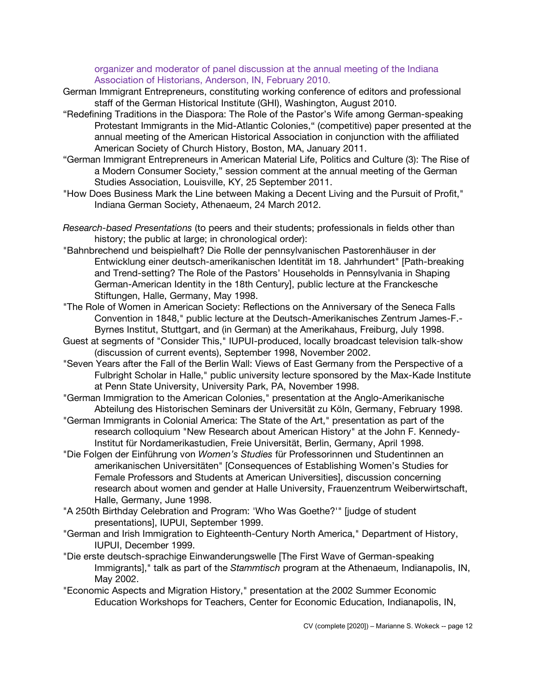#### organizer and moderator of panel discussion at the annual meeting of the Indiana Association of Historians, Anderson, IN, February 2010.

- German Immigrant Entrepreneurs, constituting working conference of editors and professional staff of the German Historical Institute (GHI), Washington, August 2010.
- "Redefining Traditions in the Diaspora: The Role of the Pastor's Wife among German-speaking Protestant Immigrants in the Mid-Atlantic Colonies," (competitive) paper presented at the annual meeting of the American Historical Association in conjunction with the affiliated American Society of Church History, Boston, MA, January 2011.
- "German Immigrant Entrepreneurs in American Material Life, Politics and Culture (3): The Rise of a Modern Consumer Society," session comment at the annual meeting of the German Studies Association, Louisville, KY, 25 September 2011.
- "How Does Business Mark the Line between Making a Decent Living and the Pursuit of Profit," Indiana German Society, Athenaeum, 24 March 2012.
- *Research-based Presentations* (to peers and their students; professionals in fields other than history; the public at large; in chronological order):
- "Bahnbrechend und beispielhaft? Die Rolle der pennsylvanischen Pastorenhäuser in der Entwicklung einer deutsch-amerikanischen Identität im 18. Jahrhundert" [Path-breaking and Trend-setting? The Role of the Pastors' Households in Pennsylvania in Shaping German-American Identity in the 18th Century], public lecture at the Franckesche Stiftungen, Halle, Germany, May 1998.
- "The Role of Women in American Society: Reflections on the Anniversary of the Seneca Falls Convention in 1848," public lecture at the Deutsch-Amerikanisches Zentrum James-F.- Byrnes Institut, Stuttgart, and (in German) at the Amerikahaus, Freiburg, July 1998.
- Guest at segments of "Consider This," IUPUI-produced, locally broadcast television talk-show (discussion of current events), September 1998, November 2002.
- "Seven Years after the Fall of the Berlin Wall: Views of East Germany from the Perspective of a Fulbright Scholar in Halle," public university lecture sponsored by the Max-Kade Institute at Penn State University, University Park, PA, November 1998.
- "German Immigration to the American Colonies," presentation at the Anglo-Amerikanische Abteilung des Historischen Seminars der Universität zu Köln, Germany, February 1998.
- "German Immigrants in Colonial America: The State of the Art," presentation as part of the research colloquium "New Research about American History" at the John F. Kennedy-Institut für Nordamerikastudien, Freie Universität, Berlin, Germany, April 1998.
- "Die Folgen der Einführung von *Women's Studies* für Professorinnen und Studentinnen an amerikanischen Universitäten" [Consequences of Establishing Women's Studies for Female Professors and Students at American Universities], discussion concerning research about women and gender at Halle University, Frauenzentrum Weiberwirtschaft, Halle, Germany, June 1998.
- "A 250th Birthday Celebration and Program: 'Who Was Goethe?'" [judge of student presentations], IUPUI, September 1999.
- "German and Irish Immigration to Eighteenth-Century North America," Department of History, IUPUI, December 1999.
- "Die erste deutsch-sprachige Einwanderungswelle [The First Wave of German-speaking Immigrants]," talk as part of the *Stammtisch* program at the Athenaeum, Indianapolis, IN, May 2002.
- "Economic Aspects and Migration History," presentation at the 2002 Summer Economic Education Workshops for Teachers, Center for Economic Education, Indianapolis, IN,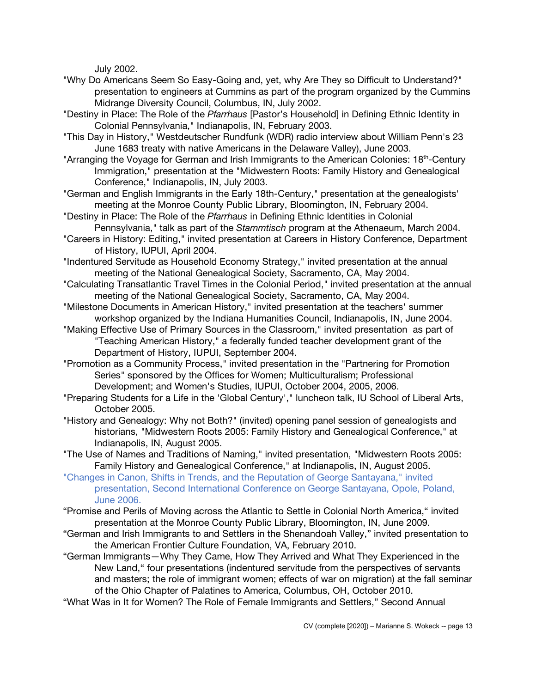July 2002.

- "Why Do Americans Seem So Easy-Going and, yet, why Are They so Difficult to Understand?" presentation to engineers at Cummins as part of the program organized by the Cummins Midrange Diversity Council, Columbus, IN, July 2002.
- "Destiny in Place: The Role of the *Pfarrhaus* [Pastor's Household] in Defining Ethnic Identity in Colonial Pennsylvania," Indianapolis, IN, February 2003.
- "This Day in History," Westdeutscher Rundfunk (WDR) radio interview about William Penn's 23 June 1683 treaty with native Americans in the Delaware Valley), June 2003.
- "Arranging the Voyage for German and Irish Immigrants to the American Colonies: 18<sup>th</sup>-Century Immigration," presentation at the "Midwestern Roots: Family History and Genealogical Conference," Indianapolis, IN, July 2003.
- "German and English Immigrants in the Early 18th-Century," presentation at the genealogists' meeting at the Monroe County Public Library, Bloomington, IN, February 2004.
- "Destiny in Place: The Role of the *Pfarrhaus* in Defining Ethnic Identities in Colonial Pennsylvania," talk as part of the *Stammtisch* program at the Athenaeum, March 2004.
- "Careers in History: Editing," invited presentation at Careers in History Conference, Department of History, IUPUI, April 2004.
- "Indentured Servitude as Household Economy Strategy," invited presentation at the annual meeting of the National Genealogical Society, Sacramento, CA, May 2004.
- "Calculating Transatlantic Travel Times in the Colonial Period," invited presentation at the annual meeting of the National Genealogical Society, Sacramento, CA, May 2004.
- "Milestone Documents in American History," invited presentation at the teachers' summer workshop organized by the Indiana Humanities Council, Indianapolis, IN, June 2004.
- "Making Effective Use of Primary Sources in the Classroom," invited presentation as part of "Teaching American History," a federally funded teacher development grant of the Department of History, IUPUI, September 2004.
- "Promotion as a Community Process," invited presentation in the "Partnering for Promotion Series" sponsored by the Offices for Women; Multiculturalism; Professional Development; and Women's Studies, IUPUI, October 2004, 2005, 2006.
- "Preparing Students for a Life in the 'Global Century'," luncheon talk, IU School of Liberal Arts, October 2005.
- "History and Genealogy: Why not Both?" (invited) opening panel session of genealogists and historians, "Midwestern Roots 2005: Family History and Genealogical Conference," at Indianapolis, IN, August 2005.
- "The Use of Names and Traditions of Naming," invited presentation, "Midwestern Roots 2005: Family History and Genealogical Conference," at Indianapolis, IN, August 2005.
- "Changes in Canon, Shifts in Trends, and the Reputation of George Santayana," invited presentation, Second International Conference on George Santayana, Opole, Poland, June 2006.
- "Promise and Perils of Moving across the Atlantic to Settle in Colonial North America," invited presentation at the Monroe County Public Library, Bloomington, IN, June 2009.
- "German and Irish Immigrants to and Settlers in the Shenandoah Valley," invited presentation to the American Frontier Culture Foundation, VA, February 2010.
- "German Immigrants—Why They Came, How They Arrived and What They Experienced in the New Land," four presentations (indentured servitude from the perspectives of servants and masters; the role of immigrant women; effects of war on migration) at the fall seminar of the Ohio Chapter of Palatines to America, Columbus, OH, October 2010.
- "What Was in It for Women? The Role of Female Immigrants and Settlers," Second Annual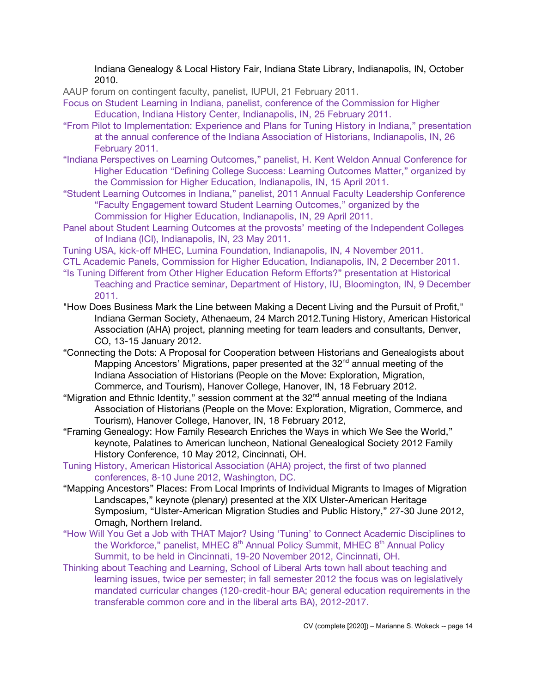Indiana Genealogy & Local History Fair, Indiana State Library, Indianapolis, IN, October 2010.

AAUP forum on contingent faculty, panelist, IUPUI, 21 February 2011.

Focus on Student Learning in Indiana, panelist, conference of the Commission for Higher Education, Indiana History Center, Indianapolis, IN, 25 February 2011.

- "From Pilot to Implementation: Experience and Plans for Tuning History in Indiana," presentation at the annual conference of the Indiana Association of Historians, Indianapolis, IN, 26 February 2011.
- "Indiana Perspectives on Learning Outcomes," panelist, H. Kent Weldon Annual Conference for Higher Education "Defining College Success: Learning Outcomes Matter," organized by the Commission for Higher Education, Indianapolis, IN, 15 April 2011.
- "Student Learning Outcomes in Indiana," panelist, 2011 Annual Faculty Leadership Conference "Faculty Engagement toward Student Learning Outcomes," organized by the Commission for Higher Education, Indianapolis, IN, 29 April 2011.
- Panel about Student Learning Outcomes at the provosts' meeting of the Independent Colleges of Indiana (ICI), Indianapolis, IN, 23 May 2011.

Tuning USA, kick-off MHEC, Lumina Foundation, Indianapolis, IN, 4 November 2011.

- CTL Academic Panels, Commission for Higher Education, Indianapolis, IN, 2 December 2011.
- "Is Tuning Different from Other Higher Education Reform Efforts?" presentation at Historical Teaching and Practice seminar, Department of History, IU, Bloomington, IN, 9 December 2011.
- "How Does Business Mark the Line between Making a Decent Living and the Pursuit of Profit," Indiana German Society, Athenaeum, 24 March 2012.Tuning History, American Historical Association (AHA) project, planning meeting for team leaders and consultants, Denver, CO, 13-15 January 2012.
- "Connecting the Dots: A Proposal for Cooperation between Historians and Genealogists about Mapping Ancestors' Migrations, paper presented at the  $32<sup>nd</sup>$  annual meeting of the Indiana Association of Historians (People on the Move: Exploration, Migration, Commerce, and Tourism), Hanover College, Hanover, IN, 18 February 2012.
- "Migration and Ethnic Identity," session comment at the 32<sup>nd</sup> annual meeting of the Indiana Association of Historians (People on the Move: Exploration, Migration, Commerce, and Tourism), Hanover College, Hanover, IN, 18 February 2012,
- "Framing Genealogy: How Family Research Enriches the Ways in which We See the World," keynote, Palatines to American luncheon, National Genealogical Society 2012 Family History Conference, 10 May 2012, Cincinnati, OH.
- Tuning History, American Historical Association (AHA) project, the first of two planned conferences, 8-10 June 2012, Washington, DC.
- "Mapping Ancestors" Places: From Local Imprints of Individual Migrants to Images of Migration Landscapes," keynote (plenary) presented at the XIX Ulster-American Heritage Symposium, "Ulster-American Migration Studies and Public History," 27-30 June 2012, Omagh, Northern Ireland.
- "How Will You Get a Job with THAT Major? Using 'Tuning' to Connect Academic Disciplines to the Workforce," panelist, MHEC 8<sup>th</sup> Annual Policy Summit, MHEC 8<sup>th</sup> Annual Policy Summit, to be held in Cincinnati, 19-20 November 2012, Cincinnati, OH.
- Thinking about Teaching and Learning, School of Liberal Arts town hall about teaching and learning issues, twice per semester; in fall semester 2012 the focus was on legislatively mandated curricular changes (120-credit-hour BA; general education requirements in the transferable common core and in the liberal arts BA), 2012-2017.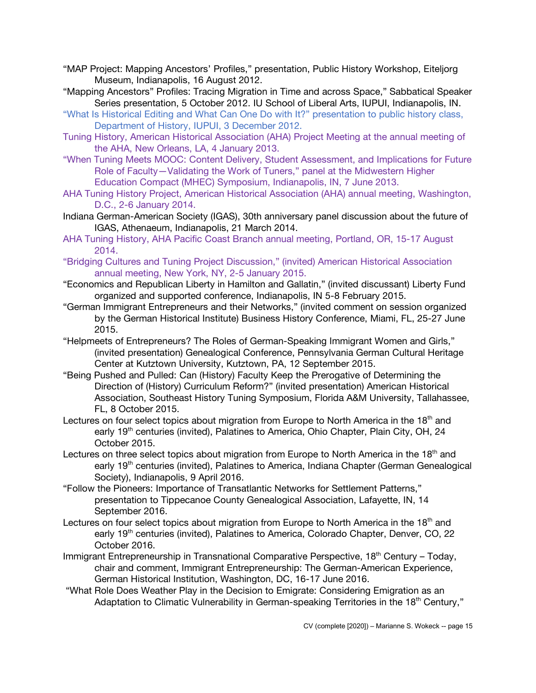- "MAP Project: Mapping Ancestors' Profiles," presentation, Public History Workshop, Eiteljorg Museum, Indianapolis, 16 August 2012.
- "Mapping Ancestors" Profiles: Tracing Migration in Time and across Space," Sabbatical Speaker Series presentation, 5 October 2012. IU School of Liberal Arts, IUPUI, Indianapolis, IN.
- "What Is Historical Editing and What Can One Do with It?" presentation to public history class, Department of History, IUPUI, 3 December 2012.
- Tuning History, American Historical Association (AHA) Project Meeting at the annual meeting of the AHA, New Orleans, LA, 4 January 2013.
- "When Tuning Meets MOOC: Content Delivery, Student Assessment, and Implications for Future Role of Faculty—Validating the Work of Tuners," panel at the Midwestern Higher Education Compact (MHEC) Symposium, Indianapolis, IN, 7 June 2013.
- AHA Tuning History Project, American Historical Association (AHA) annual meeting, Washington, D.C., 2-6 January 2014.
- Indiana German-American Society (IGAS), 30th anniversary panel discussion about the future of IGAS, Athenaeum, Indianapolis, 21 March 2014.
- AHA Tuning History, AHA Pacific Coast Branch annual meeting, Portland, OR, 15-17 August 2014.
- "Bridging Cultures and Tuning Project Discussion," (invited) American Historical Association annual meeting, New York, NY, 2-5 January 2015.
- "Economics and Republican Liberty in Hamilton and Gallatin," (invited discussant) Liberty Fund organized and supported conference, Indianapolis, IN 5-8 February 2015.
- "German Immigrant Entrepreneurs and their Networks," (invited comment on session organized by the German Historical Institute) Business History Conference, Miami, FL, 25-27 June 2015.
- "Helpmeets of Entrepreneurs? The Roles of German-Speaking Immigrant Women and Girls," (invited presentation) Genealogical Conference, Pennsylvania German Cultural Heritage Center at Kutztown University, Kutztown, PA, 12 September 2015.
- "Being Pushed and Pulled: Can (History) Faculty Keep the Prerogative of Determining the Direction of (History) Curriculum Reform?" (invited presentation) American Historical Association, Southeast History Tuning Symposium, Florida A&M University, Tallahassee, FL, 8 October 2015.
- Lectures on four select topics about migration from Europe to North America in the  $18<sup>th</sup>$  and early 19<sup>th</sup> centuries (invited), Palatines to America, Ohio Chapter, Plain City, OH, 24 October 2015.
- Lectures on three select topics about migration from Europe to North America in the 18<sup>th</sup> and early 19<sup>th</sup> centuries (invited), Palatines to America, Indiana Chapter (German Genealogical Society), Indianapolis, 9 April 2016.
- "Follow the Pioneers: Importance of Transatlantic Networks for Settlement Patterns," presentation to Tippecanoe County Genealogical Association, Lafayette, IN, 14 September 2016.
- Lectures on four select topics about migration from Europe to North America in the 18<sup>th</sup> and early 19<sup>th</sup> centuries (invited), Palatines to America, Colorado Chapter, Denver, CO, 22 October 2016.
- Immigrant Entrepreneurship in Transnational Comparative Perspective, 18<sup>th</sup> Century Today, chair and comment, Immigrant Entrepreneurship: The German-American Experience, German Historical Institution, Washington, DC, 16-17 June 2016.
- "What Role Does Weather Play in the Decision to Emigrate: Considering Emigration as an Adaptation to Climatic Vulnerability in German-speaking Territories in the 18<sup>th</sup> Century,"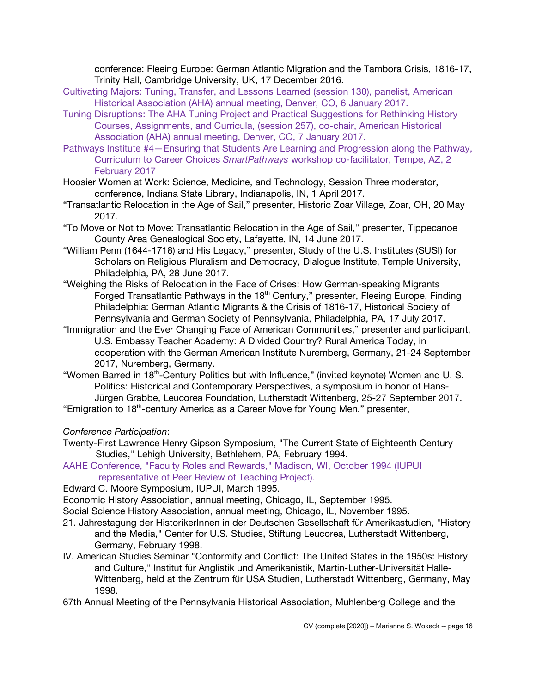conference: Fleeing Europe: German Atlantic Migration and the Tambora Crisis, 1816-17, Trinity Hall, Cambridge University, UK, 17 December 2016.

- Cultivating Majors: Tuning, Transfer, and Lessons Learned (session 130), panelist, American Historical Association (AHA) annual meeting, Denver, CO, 6 January 2017.
- Tuning Disruptions: The AHA Tuning Project and Practical Suggestions for Rethinking History Courses, Assignments, and Curricula, (session 257), co-chair, American Historical Association (AHA) annual meeting, Denver, CO, 7 January 2017.
- Pathways Institute #4—Ensuring that Students Are Learning and Progression along the Pathway, Curriculum to Career Choices *SmartPathways* workshop co-facilitator, Tempe, AZ, 2 February 2017
- Hoosier Women at Work: Science, Medicine, and Technology, Session Three moderator, conference, Indiana State Library, Indianapolis, IN, 1 April 2017.
- "Transatlantic Relocation in the Age of Sail," presenter, Historic Zoar Village, Zoar, OH, 20 May 2017.
- "To Move or Not to Move: Transatlantic Relocation in the Age of Sail," presenter, Tippecanoe County Area Genealogical Society, Lafayette, IN, 14 June 2017.
- "William Penn (1644-1718) and His Legacy," presenter, Study of the U.S. Institutes (SUSI) for Scholars on Religious Pluralism and Democracy, Dialogue Institute, Temple University, Philadelphia, PA, 28 June 2017.
- "Weighing the Risks of Relocation in the Face of Crises: How German-speaking Migrants Forged Transatlantic Pathways in the 18<sup>th</sup> Century," presenter, Fleeing Europe, Finding Philadelphia: German Atlantic Migrants & the Crisis of 1816-17, Historical Society of Pennsylvania and German Society of Pennsylvania, Philadelphia, PA, 17 July 2017.
- "Immigration and the Ever Changing Face of American Communities," presenter and participant, U.S. Embassy Teacher Academy: A Divided Country? Rural America Today, in cooperation with the German American Institute Nuremberg, Germany, 21-24 September 2017, Nuremberg, Germany.
- "Women Barred in 18<sup>th</sup>-Century Politics but with Influence," (invited keynote) Women and U. S. Politics: Historical and Contemporary Perspectives, a symposium in honor of Hans-Jürgen Grabbe, Leucorea Foundation, Lutherstadt Wittenberg, 25-27 September 2017. "Emigration to 18th-century America as a Career Move for Young Men," presenter,

*Conference Participation*:

- Twenty-First Lawrence Henry Gipson Symposium, "The Current State of Eighteenth Century Studies," Lehigh University, Bethlehem, PA, February 1994.
- AAHE Conference, "Faculty Roles and Rewards," Madison, WI, October 1994 (IUPUI representative of Peer Review of Teaching Project).

Edward C. Moore Symposium, IUPUI, March 1995.

Economic History Association, annual meeting, Chicago, IL, September 1995.

Social Science History Association, annual meeting, Chicago, IL, November 1995.

- 21. Jahrestagung der HistorikerInnen in der Deutschen Gesellschaft für Amerikastudien, "History and the Media," Center for U.S. Studies, Stiftung Leucorea, Lutherstadt Wittenberg, Germany, February 1998.
- IV. American Studies Seminar "Conformity and Conflict: The United States in the 1950s: History and Culture," Institut für Anglistik und Amerikanistik, Martin-Luther-Universität Halle-Wittenberg, held at the Zentrum für USA Studien, Lutherstadt Wittenberg, Germany, May 1998.

67th Annual Meeting of the Pennsylvania Historical Association, Muhlenberg College and the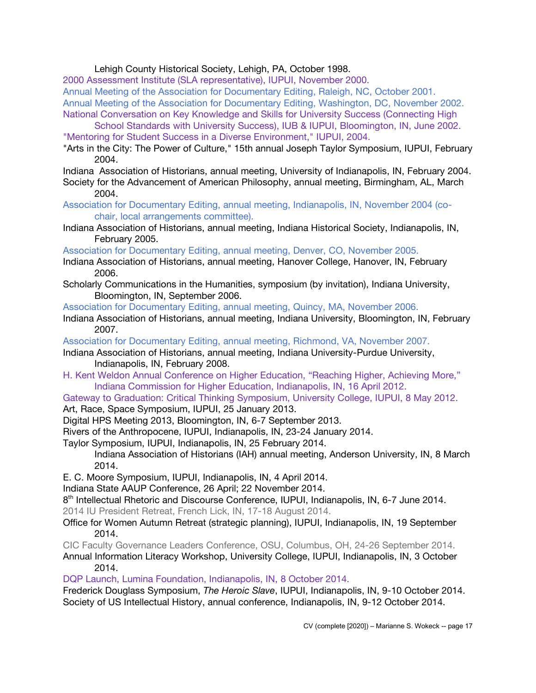### Lehigh County Historical Society, Lehigh, PA, October 1998.

2000 Assessment Institute (SLA representative), IUPUI, November 2000.

Annual Meeting of the Association for Documentary Editing, Raleigh, NC, October 2001. Annual Meeting of the Association for Documentary Editing, Washington, DC, November 2002. National Conversation on Key Knowledge and Skills for University Success (Connecting High

School Standards with University Success), IUB & IUPUI, Bloomington, IN, June 2002. "Mentoring for Student Success in a Diverse Environment," IUPUI, 2004.

"Arts in the City: The Power of Culture," 15th annual Joseph Taylor Symposium, IUPUI, February 2004.

Indiana Association of Historians, annual meeting, University of Indianapolis, IN, February 2004. Society for the Advancement of American Philosophy, annual meeting, Birmingham, AL, March 2004.

Association for Documentary Editing, annual meeting, Indianapolis, IN, November 2004 (cochair, local arrangements committee).

Indiana Association of Historians, annual meeting, Indiana Historical Society, Indianapolis, IN, February 2005.

Association for Documentary Editing, annual meeting, Denver, CO, November 2005.

- Indiana Association of Historians, annual meeting, Hanover College, Hanover, IN, February 2006.
- Scholarly Communications in the Humanities, symposium (by invitation), Indiana University, Bloomington, IN, September 2006.

Association for Documentary Editing, annual meeting, Quincy, MA, November 2006.

Indiana Association of Historians, annual meeting, Indiana University, Bloomington, IN, February 2007.

Association for Documentary Editing, annual meeting, Richmond, VA, November 2007.

- Indiana Association of Historians, annual meeting, Indiana University-Purdue University, Indianapolis, IN, February 2008.
- H. Kent Weldon Annual Conference on Higher Education, "Reaching Higher, Achieving More," Indiana Commission for Higher Education, Indianapolis, IN, 16 April 2012.
- Gateway to Graduation: Critical Thinking Symposium, University College, IUPUI, 8 May 2012. Art, Race, Space Symposium, IUPUI, 25 January 2013.
- Digital HPS Meeting 2013, Bloomington, IN, 6-7 September 2013.

Rivers of the Anthropocene, IUPUI, Indianapolis, IN, 23-24 January 2014.

Taylor Symposium, IUPUI, Indianapolis, IN, 25 February 2014.

Indiana Association of Historians (IAH) annual meeting, Anderson University, IN, 8 March 2014.

E. C. Moore Symposium, IUPUI, Indianapolis, IN, 4 April 2014.

Indiana State AAUP Conference, 26 April; 22 November 2014.

8th Intellectual Rhetoric and Discourse Conference, IUPUI, Indianapolis, IN, 6-7 June 2014. 2014 IU President Retreat, French Lick, IN, 17-18 August 2014.

Office for Women Autumn Retreat (strategic planning), IUPUI, Indianapolis, IN, 19 September 2014.

CIC Faculty Governance Leaders Conference, OSU, Columbus, OH, 24-26 September 2014. Annual Information Literacy Workshop, University College, IUPUI, Indianapolis, IN, 3 October 2014.

DQP Launch, Lumina Foundation, Indianapolis, IN, 8 October 2014.

Frederick Douglass Symposium, *The Heroic Slave*, IUPUI, Indianapolis, IN, 9-10 October 2014. Society of US Intellectual History, annual conference, Indianapolis, IN, 9-12 October 2014.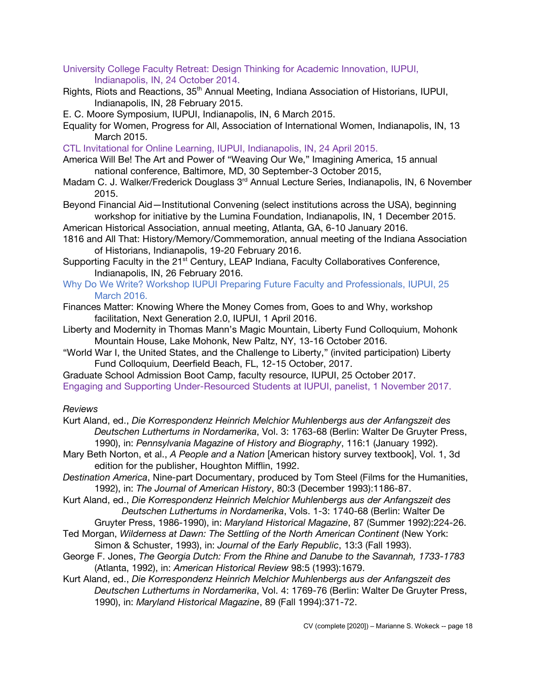- University College Faculty Retreat: Design Thinking for Academic Innovation, IUPUI, Indianapolis, IN, 24 October 2014.
- Rights, Riots and Reactions, 35<sup>th</sup> Annual Meeting, Indiana Association of Historians, IUPUI, Indianapolis, IN, 28 February 2015.
- E. C. Moore Symposium, IUPUI, Indianapolis, IN, 6 March 2015.
- Equality for Women, Progress for All, Association of International Women, Indianapolis, IN, 13 March 2015.
- CTL Invitational for Online Learning, IUPUI, Indianapolis, IN, 24 April 2015.
- America Will Be! The Art and Power of "Weaving Our We," Imagining America, 15 annual national conference, Baltimore, MD, 30 September-3 October 2015,
- Madam C. J. Walker/Frederick Douglass 3<sup>rd</sup> Annual Lecture Series, Indianapolis, IN, 6 November 2015.
- Beyond Financial Aid—Institutional Convening (select institutions across the USA), beginning workshop for initiative by the Lumina Foundation, Indianapolis, IN, 1 December 2015.
- American Historical Association, annual meeting, Atlanta, GA, 6-10 January 2016.
- 1816 and All That: History/Memory/Commemoration, annual meeting of the Indiana Association of Historians, Indianapolis, 19-20 February 2016.
- Supporting Faculty in the 21<sup>st</sup> Century, LEAP Indiana, Faculty Collaboratives Conference, Indianapolis, IN, 26 February 2016.
- Why Do We Write? Workshop IUPUI Preparing Future Faculty and Professionals, IUPUI, 25 March 2016.
- Finances Matter: Knowing Where the Money Comes from, Goes to and Why, workshop facilitation, Next Generation 2.0, IUPUI, 1 April 2016.
- Liberty and Modernity in Thomas Mann's Magic Mountain, Liberty Fund Colloquium, Mohonk Mountain House, Lake Mohonk, New Paltz, NY, 13-16 October 2016.
- "World War I, the United States, and the Challenge to Liberty," (invited participation) Liberty Fund Colloquium, Deerfield Beach, FL, 12-15 October, 2017.

Graduate School Admission Boot Camp, faculty resource, IUPUI, 25 October 2017. Engaging and Supporting Under-Resourced Students at IUPUI, panelist, 1 November 2017.

# *Reviews*

- Kurt Aland, ed., *Die Korrespondenz Heinrich Melchior Muhlenbergs aus der Anfangszeit des Deutschen Luthertums in Nordamerika*, Vol. 3: 1763-68 (Berlin: Walter De Gruyter Press, 1990), in: *Pennsylvania Magazine of History and Biography*, 116:1 (January 1992).
- Mary Beth Norton, et al., *A People and a Nation* [American history survey textbook], Vol. 1, 3d edition for the publisher, Houghton Mifflin, 1992.
- *Destination America*, Nine-part Documentary, produced by Tom Steel (Films for the Humanities, 1992), in: *The Journal of American History*, 80:3 (December 1993):1186-87.
- Kurt Aland, ed., *Die Korrespondenz Heinrich Melchior Muhlenbergs aus der Anfangszeit des Deutschen Luthertums in Nordamerika*, Vols. 1-3: 1740-68 (Berlin: Walter De Gruyter Press, 1986-1990), in: *Maryland Historical Magazine*, 87 (Summer 1992):224-26.
- Ted Morgan, *Wilderness at Dawn: The Settling of the North American Continent* (New York: Simon & Schuster, 1993), in: *Journal of the Early Republic*, 13:3 (Fall 1993).
- George F. Jones, *The Georgia Dutch: From the Rhine and Danube to the Savannah, 1733-1783* (Atlanta, 1992), in: *American Historical Review* 98:5 (1993):1679.
- Kurt Aland, ed., *Die Korrespondenz Heinrich Melchior Muhlenbergs aus der Anfangszeit des Deutschen Luthertums in Nordamerika*, Vol. 4: 1769-76 (Berlin: Walter De Gruyter Press, 1990), in: *Maryland Historical Magazine*, 89 (Fall 1994):371-72.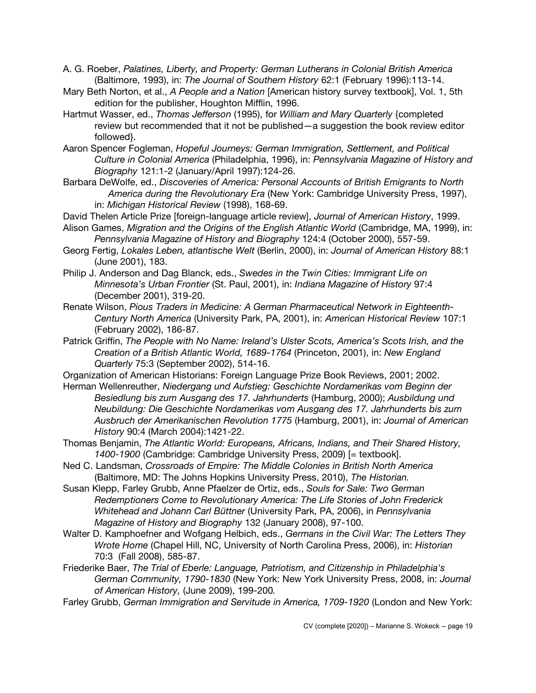A. G. Roeber, *Palatines, Liberty, and Property: German Lutherans in Colonial British America* (Baltimore, 1993), in: *The Journal of Southern History* 62:1 (February 1996):113-14.

- Mary Beth Norton, et al., *A People and a Nation* [American history survey textbook], Vol. 1, 5th edition for the publisher, Houghton Mifflin, 1996.
- Hartmut Wasser, ed., *Thomas Jefferson* (1995), for *William and Mary Quarterly* {completed review but recommended that it not be published—a suggestion the book review editor followed}.
- Aaron Spencer Fogleman, *Hopeful Journeys: German Immigration, Settlement, and Political Culture in Colonial America* (Philadelphia, 1996), in: *Pennsylvania Magazine of History and Biography* 121:1-2 (January/April 1997):124-26.
- Barbara DeWolfe, ed., *Discoveries of America: Personal Accounts of British Emigrants to North America during the Revolutionary Era* (New York: Cambridge University Press, 1997), in: *Michigan Historical Review* (1998), 168-69.
- David Thelen Article Prize [foreign-language article review], *Journal of American History*, 1999.
- Alison Games, *Migration and the Origins of the English Atlantic World* (Cambridge, MA, 1999), in: *Pennsylvania Magazine of History and Biography* 124:4 (October 2000), 557-59.
- Georg Fertig, *Lokales Leben, atlantische Welt* (Berlin, 2000), in: *Journal of American History* 88:1 (June 2001), 183.
- Philip J. Anderson and Dag Blanck, eds., *Swedes in the Twin Cities: Immigrant Life on Minnesota's Urban Frontier* (St. Paul, 2001), in: *Indiana Magazine of History* 97:4 (December 2001), 319-20.
- Renate Wilson, *Pious Traders in Medicine: A German Pharmaceutical Network in Eighteenth-Century North America* (University Park, PA, 2001), in: *American Historical Review* 107:1 (February 2002), 186-87.
- Patrick Griffin, *The People with No Name: Ireland's Ulster Scots, America's Scots Irish, and the Creation of a British Atlantic World, 1689-1764* (Princeton, 2001), in: *New England Quarterly* 75:3 (September 2002), 514-16.
- Organization of American Historians: Foreign Language Prize Book Reviews, 2001; 2002.
- Herman Wellenreuther, *Niedergang und Aufstieg: Geschichte Nordamerikas vom Beginn der Besiedlung bis zum Ausgang des 17. Jahrhunderts* (Hamburg, 2000); *Ausbildung und Neubildung: Die Geschichte Nordamerikas vom Ausgang des 17. Jahrhunderts bis zum Ausbruch der Amerikanischen Revolution 1775* (Hamburg, 2001), in: *Journal of American History* 90:4 (March 2004):1421-22.
- Thomas Benjamin, *The Atlantic World: Europeans, Africans, Indians, and Their Shared History, 1400-1900* (Cambridge: Cambridge University Press, 2009) [= textbook].
- Ned C. Landsman, *Crossroads of Empire: The Middle Colonies in British North America* (Baltimore, MD: The Johns Hopkins University Press, 2010), *The Historian.*
- Susan Klepp, Farley Grubb, Anne Pfaelzer de Ortiz, eds., *Souls for Sale: Two German Redemptioners Come to Revolutionary America: The Life Stories of John Frederick Whitehead and Johann Carl Büttner* (University Park, PA, 2006), in *Pennsylvania Magazine of History and Biography* 132 (January 2008), 97-100.
- Walter D. Kamphoefner and Wofgang Helbich, eds., *Germans in the Civil War: The Letters They Wrote Home* (Chapel Hill, NC, University of North Carolina Press, 2006), in: *Historian*  70:3 (Fall 2008), 585-87.
- Friederike Baer, *The Trial of Eberle: Language, Patriotism, and Citizenship in Philadelphia's German Community, 1790-1830* (New York: New York University Press, 2008, in: *Journal of American History,* (June 2009), 199-200*.*
- Farley Grubb, *German Immigration and Servitude in America, 1709-1920* (London and New York: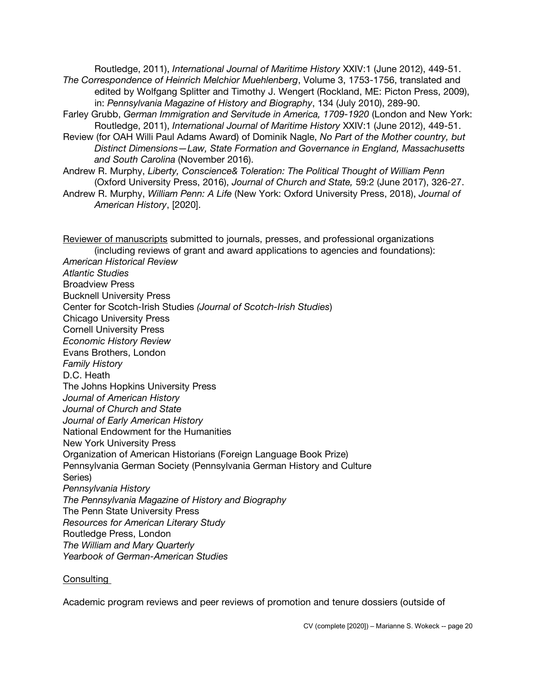Routledge, 2011), *International Journal of Maritime History* XXIV:1 (June 2012), 449-51. *The Correspondence of Heinrich Melchior Muehlenberg*, Volume 3, 1753-1756, translated and edited by Wolfgang Splitter and Timothy J. Wengert (Rockland, ME: Picton Press, 2009), in: *Pennsylvania Magazine of History and Biography*, 134 (July 2010), 289-90.

- Farley Grubb, *German Immigration and Servitude in America, 1709-1920* (London and New York: Routledge, 2011), *International Journal of Maritime History* XXIV:1 (June 2012), 449-51.
- Review (for OAH Willi Paul Adams Award) of Dominik Nagle, *No Part of the Mother country, but Distinct Dimensions—Law, State Formation and Governance in England, Massachusetts and South Carolina* (November 2016).
- Andrew R. Murphy, *Liberty, Conscience& Toleration: The Political Thought of William Penn* (Oxford University Press, 2016), *Journal of Church and State,* 59:2 (June 2017), 326-27.
- Andrew R. Murphy, *William Penn: A Life* (New York: Oxford University Press, 2018), *Journal of American History*, [2020].

Reviewer of manuscripts submitted to journals, presses, and professional organizations (including reviews of grant and award applications to agencies and foundations): *American Historical Review Atlantic Studies* Broadview Press Bucknell University Press Center for Scotch-Irish Studies *(Journal of Scotch-Irish Studies*) Chicago University Press Cornell University Press *Economic History Review* Evans Brothers, London *Family History* D.C. Heath The Johns Hopkins University Press *Journal of American History Journal of Church and State Journal of Early American History* National Endowment for the Humanities New York University Press Organization of American Historians (Foreign Language Book Prize) Pennsylvania German Society (Pennsylvania German History and Culture Series) *Pennsylvania History The Pennsylvania Magazine of History and Biography* The Penn State University Press *Resources for American Literary Study* Routledge Press, London *The William and Mary Quarterly Yearbook of German-American Studies*

#### Consulting

Academic program reviews and peer reviews of promotion and tenure dossiers (outside of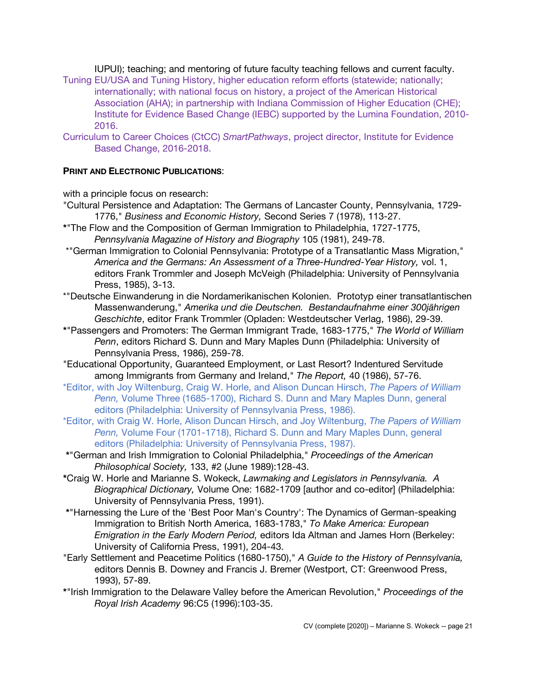IUPUI); teaching; and mentoring of future faculty teaching fellows and current faculty.

- Tuning EU/USA and Tuning History, higher education reform efforts (statewide; nationally; internationally; with national focus on history, a project of the American Historical Association (AHA); in partnership with Indiana Commission of Higher Education (CHE); Institute for Evidence Based Change (IEBC) supported by the Lumina Foundation, 2010- 2016.
- Curriculum to Career Choices (CtCC) *SmartPathways*, project director, Institute for Evidence Based Change, 2016-2018.

# **PRINT AND ELECTRONIC PUBLICATIONS**:

with a principle focus on research:

- "Cultural Persistence and Adaptation: The Germans of Lancaster County, Pennsylvania, 1729- 1776," *Business and Economic History,* Second Series 7 (1978), 113-27.
- **\***"The Flow and the Composition of German Immigration to Philadelphia, 1727-1775, *Pennsylvania Magazine of History and Biography* 105 (1981), 249-78.
- \*"German Immigration to Colonial Pennsylvania: Prototype of a Transatlantic Mass Migration," *America and the Germans: An Assessment of a Three-Hundred-Year History,* vol. 1, editors Frank Trommler and Joseph McVeigh (Philadelphia: University of Pennsylvania Press, 1985), 3-13.
- \*"Deutsche Einwanderung in die Nordamerikanischen Kolonien. Prototyp einer transatlantischen Massenwanderung," *Amerika und die Deutschen. Bestandaufnahme einer 300jährigen Geschichte*, editor Frank Trommler (Opladen: Westdeutscher Verlag, 1986), 29-39.
- **\***"Passengers and Promoters: The German Immigrant Trade, 1683-1775," *The World of William Penn*, editors Richard S. Dunn and Mary Maples Dunn (Philadelphia: University of Pennsylvania Press, 1986), 259-78.
- "Educational Opportunity, Guaranteed Employment, or Last Resort? Indentured Servitude among Immigrants from Germany and Ireland," *The Report,* 40 (1986), 57-76.
- \*Editor, with Joy Wiltenburg, Craig W. Horle, and Alison Duncan Hirsch, *The Papers of William Penn,* Volume Three (1685-1700), Richard S. Dunn and Mary Maples Dunn, general editors (Philadelphia: University of Pennsylvania Press, 1986).
- \*Editor, with Craig W. Horle, Alison Duncan Hirsch, and Joy Wiltenburg, *The Papers of William Penn,* Volume Four (1701-1718), Richard S. Dunn and Mary Maples Dunn, general editors (Philadelphia: University of Pennsylvania Press, 1987).
- **\***"German and Irish Immigration to Colonial Philadelphia," *Proceedings of the American Philosophical Society,* 133, #2 (June 1989):128-43.
- **\***Craig W. Horle and Marianne S. Wokeck, *Lawmaking and Legislators in Pennsylvania. A Biographical Dictionary,* Volume One: 1682-1709 [author and co-editor] (Philadelphia: University of Pennsylvania Press, 1991).
- **\***"Harnessing the Lure of the 'Best Poor Man's Country': The Dynamics of German-speaking Immigration to British North America, 1683-1783," *To Make America: European Emigration in the Early Modern Period,* editors Ida Altman and James Horn (Berkeley: University of California Press, 1991), 204-43.
- "Early Settlement and Peacetime Politics (1680-1750)," *A Guide to the History of Pennsylvania,* editors Dennis B. Downey and Francis J. Bremer (Westport, CT: Greenwood Press, 1993), 57-89.
- **\***"Irish Immigration to the Delaware Valley before the American Revolution," *Proceedings of the Royal Irish Academy* 96:C5 (1996):103-35.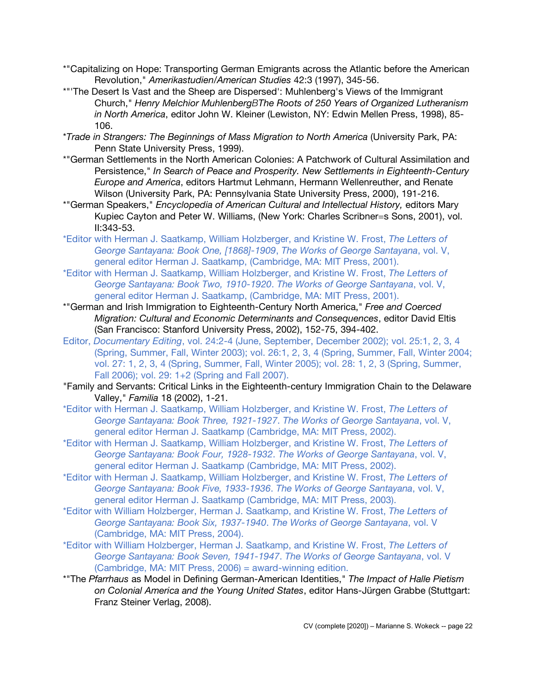- \*"Capitalizing on Hope: Transporting German Emigrants across the Atlantic before the American Revolution," *Amerikastudien/American Studies* 42:3 (1997), 345-56.
- \*"'The Desert Is Vast and the Sheep are Dispersed': Muhlenberg's Views of the Immigrant Church," *Henry Melchior MuhlenbergBThe Roots of 250 Years of Organized Lutheranism in North America*, editor John W. Kleiner (Lewiston, NY: Edwin Mellen Press, 1998), 85- 106.
- \**Trade in Strangers: The Beginnings of Mass Migration to North America* (University Park, PA: Penn State University Press, 1999).
- \*"German Settlements in the North American Colonies: A Patchwork of Cultural Assimilation and Persistence," *In Search of Peace and Prosperity. New Settlements in Eighteenth-Century Europe and America*, editors Hartmut Lehmann, Hermann Wellenreuther, and Renate Wilson (University Park, PA: Pennsylvania State University Press, 2000), 191-216.
- \*"German Speakers," *Encyclopedia of American Cultural and Intellectual History,* editors Mary Kupiec Cayton and Peter W. Williams, (New York: Charles Scribner=s Sons, 2001), vol. II:343-53.
- \*Editor with Herman J. Saatkamp, William Holzberger, and Kristine W. Frost, *The Letters of George Santayana: Book One, [1868]-1909*, *The Works of George Santayana*, vol. V, general editor Herman J. Saatkamp, (Cambridge, MA: MIT Press, 2001).
- \*Editor with Herman J. Saatkamp, William Holzberger, and Kristine W. Frost, *The Letters of George Santayana: Book Two, 1910-1920*. *The Works of George Santayana*, vol. V, general editor Herman J. Saatkamp, (Cambridge, MA: MIT Press, 2001).
- \*"German and Irish Immigration to Eighteenth-Century North America," *Free and Coerced Migration: Cultural and Economic Determinants and Consequences*, editor David Eltis (San Francisco: Stanford University Press, 2002), 152-75, 394-402.
- Editor, *Documentary Editing*, vol. 24:2-4 (June, September, December 2002); vol. 25:1, 2, 3, 4 (Spring, Summer, Fall, Winter 2003); vol. 26:1, 2, 3, 4 (Spring, Summer, Fall, Winter 2004; vol. 27: 1, 2, 3, 4 (Spring, Summer, Fall, Winter 2005); vol. 28: 1, 2, 3 (Spring, Summer, Fall 2006); vol. 29: 1+2 (Spring and Fall 2007).
- "Family and Servants: Critical Links in the Eighteenth-century Immigration Chain to the Delaware Valley," *Familia* 18 (2002), 1-21.
- \*Editor with Herman J. Saatkamp, William Holzberger, and Kristine W. Frost, *The Letters of George Santayana: Book Three, 1921-1927*. *The Works of George Santayana*, vol. V, general editor Herman J. Saatkamp (Cambridge, MA: MIT Press, 2002).
- \*Editor with Herman J. Saatkamp, William Holzberger, and Kristine W. Frost, *The Letters of George Santayana: Book Four, 1928-1932*. *The Works of George Santayana*, vol. V, general editor Herman J. Saatkamp (Cambridge, MA: MIT Press, 2002).
- \*Editor with Herman J. Saatkamp, William Holzberger, and Kristine W. Frost, *The Letters of George Santayana: Book Five, 1933-1936*. *The Works of George Santayana*, vol. V, general editor Herman J. Saatkamp (Cambridge, MA: MIT Press, 2003).
- \*Editor with William Holzberger, Herman J. Saatkamp, and Kristine W. Frost, *The Letters of George Santayana: Book Six, 1937-1940*. *The Works of George Santayana*, vol. V (Cambridge, MA: MIT Press, 2004).
- \*Editor with William Holzberger, Herman J. Saatkamp, and Kristine W. Frost, *The Letters of George Santayana: Book Seven, 1941-1947*. *The Works of George Santayana*, vol. V (Cambridge, MA: MIT Press, 2006) = award-winning edition.
- \*"The *Pfarrhaus* as Model in Defining German-American Identities," *The Impact of Halle Pietism on Colonial America and the Young United States*, editor Hans-Jürgen Grabbe (Stuttgart: Franz Steiner Verlag, 2008).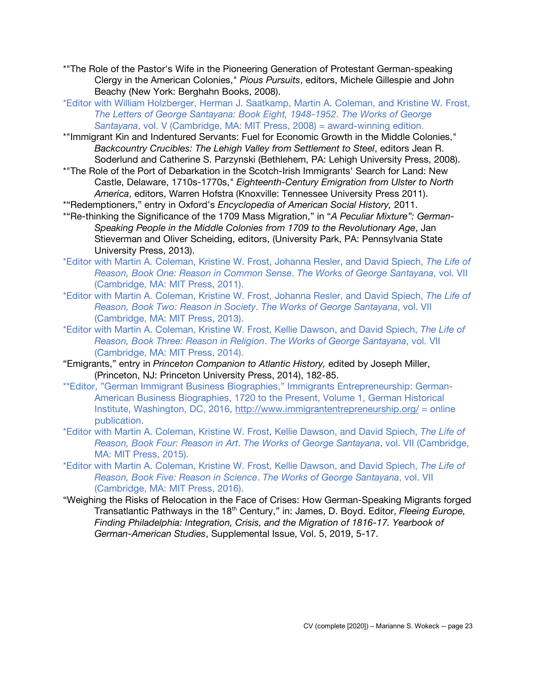- \*"The Role of the Pastor's Wife in the Pioneering Generation of Protestant German-speaking Clergy in the American Colonies," *Pious Pursuits*, editors, Michele Gillespie and John Beachy (New York: Berghahn Books, 2008).
- \*Editor with William Holzberger, Herman J. Saatkamp, Martin A. Coleman, and Kristine W. Frost, *The Letters of George Santayana: Book Eight, 1948-1952*. *The Works of George Santayana*, vol. V (Cambridge, MA: MIT Press, 2008) = award-winning edition.
- \*"Immigrant Kin and Indentured Servants: Fuel for Economic Growth in the Middle Colonies," *Backcountry Crucibles: The Lehigh Valley from Settlement to Steel*, editors Jean R. Soderlund and Catherine S. Parzynski (Bethlehem, PA: Lehigh University Press, 2008).
- \*"The Role of the Port of Debarkation in the Scotch-Irish Immigrants' Search for Land: New Castle, Delaware, 1710s-1770s," *Eighteenth-Century Emigration from Ulster to North America*, editors, Warren Hofstra (Knoxville: Tennessee University Press 2011).
- \*"Redemptioners," entry in Oxford's *Encyclopedia of American Social History,* 2011.
- \*"Re-thinking the Significance of the 1709 Mass Migration," in "*A Peculiar Mixture": German-Speaking People in the Middle Colonies from 1709 to the Revolutionary Age*, Jan Stieverman and Oliver Scheiding, editors, (University Park, PA: Pennsylvania State University Press, 2013).
- \*Editor with Martin A. Coleman, Kristine W. Frost, Johanna Resler, and David Spiech, *The Life of Reason, Book One: Reason in Common Sense*. *The Works of George Santayana*, vol. VII (Cambridge, MA: MIT Press, 2011).
- \*Editor with Martin A. Coleman, Kristine W. Frost, Johanna Resler, and David Spiech, *The Life of Reason, Book Two: Reason in Society*. *The Works of George Santayana*, vol. VII (Cambridge, MA: MIT Press, 2013).
- \*Editor with Martin A. Coleman, Kristine W. Frost, Kellie Dawson, and David Spiech, *The Life of Reason, Book Three: Reason in Religion*. *The Works of George Santayana*, vol. VII (Cambridge, MA: MIT Press, 2014).
- "Emigrants," entry in *Princeton Companion to Atlantic History,* edited by Joseph Miller, (Princeton, NJ: Princeton University Press, 2014), 182-85.
- \*\*Editor, "German Immigrant Business Biographies," Immigrants Entrepreneurship: German-American Business Biographies, 1720 to the Present, Volume 1, German Historical Institute, Washington, DC, 2016, http://www.immigrantentrepreneurship.org/ = online publication.
- \*Editor with Martin A. Coleman, Kristine W. Frost, Kellie Dawson, and David Spiech, *The Life of Reason, Book Four: Reason in Art*. *The Works of George Santayana*, vol. VII (Cambridge, MA: MIT Press, 2015).
- \*Editor with Martin A. Coleman, Kristine W. Frost, Kellie Dawson, and David Spiech, *The Life of Reason, Book Five: Reason in Science*. *The Works of George Santayana*, vol. VII (Cambridge, MA: MIT Press, 2016).
- "Weighing the Risks of Relocation in the Face of Crises: How German-Speaking Migrants forged Transatlantic Pathways in the 18<sup>th</sup> Century," in: James, D. Boyd. Editor, *Fleeing Europe*, *Finding Philadelphia: Integration, Crisis, and the Migration of 1816-17. Yearbook of German-American Studies*, Supplemental Issue, Vol. 5, 2019, 5-17.